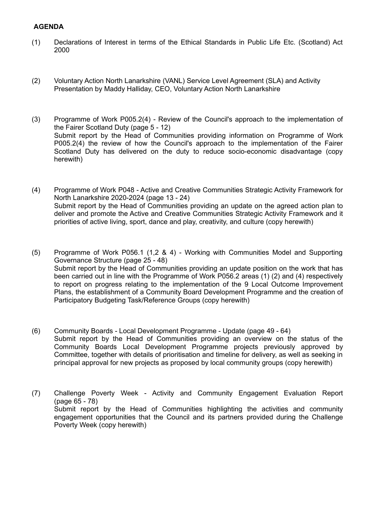## **AGENDA**

- (1) Declarations of Interest in terms of the Ethical Standards in Public Life Etc. (Scotland) Act 2000
- (2) Voluntary Action North Lanarkshire (VANL) Service Level Agreement (SLA) and Activity Presentation by Maddy Halliday, CEO, Voluntary Action North Lanarkshire
- (3) Programme of Work P005.2(4) Review of the Council's approach to the implementation of the Fairer Scotland Duty (page 5 - 12) Submit report by the Head of Communities providing information on Programme of Work P005.2(4) the review of how the Council's approach to the implementation of the Fairer Scotland Duty has delivered on the duty to reduce socio-economic disadvantage (copy herewith)
- (4) Programme of Work P048 Active and Creative Communities Strategic Activity Framework for North Lanarkshire 2020-2024 (page 13 - 24) Submit report by the Head of Communities providing an update on the agreed action plan to deliver and promote the Active and Creative Communities Strategic Activity Framework and it priorities of active living, sport, dance and play, creativity, and culture (copy herewith)
- (5) Programme of Work P056.1 (1,2 & 4) Working with Communities Model and Supporting Governance Structure (page 25 - 48) Submit report by the Head of Communities providing an update position on the work that has been carried out in line with the Programme of Work P056.2 areas (1) (2) and (4) respectively to report on progress relating to the implementation of the 9 Local Outcome Improvement Plans, the establishment of a Community Board Development Programme and the creation of Participatory Budgeting Task/Reference Groups (copy herewith)
- (6) Community Boards Local Development Programme Update (page 49 64) Submit report by the Head of Communities providing an overview on the status of the Community Boards Local Development Programme projects previously approved by Committee, together with details of prioritisation and timeline for delivery, as well as seeking in principal approval for new projects as proposed by local community groups (copy herewith)
- (7) Challenge Poverty Week Activity and Community Engagement Evaluation Report (page 65 - 78) Submit report by the Head of Communities highlighting the activities and community engagement opportunities that the Council and its partners provided during the Challenge Poverty Week (copy herewith)